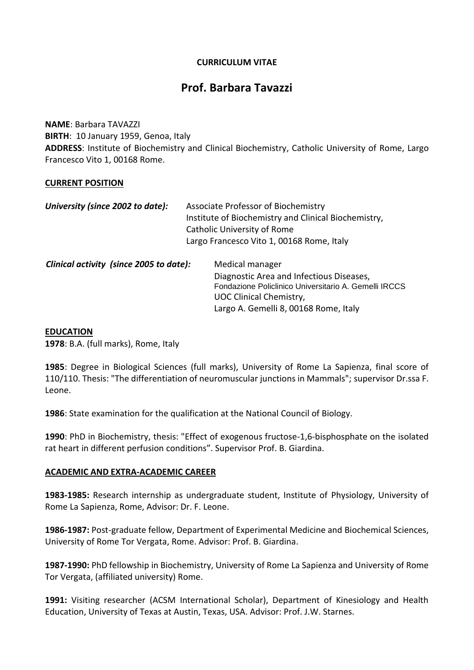# **CURRICULUM VITAE**

# **Prof. Barbara Tavazzi**

**NAME**: Barbara TAVAZZI **BIRTH**: 10 January 1959, Genoa, Italy **ADDRESS**: Institute of Biochemistry and Clinical Biochemistry, Catholic University of Rome, Largo Francesco Vito 1, 00168 Rome.

### **CURRENT POSITION**

| University (since 2002 to date):        | Associate Professor of Biochemistry<br>Institute of Biochemistry and Clinical Biochemistry,<br>Catholic University of Rome<br>Largo Francesco Vito 1, 00168 Rome, Italy |                                                                                                                                                                                                 |
|-----------------------------------------|-------------------------------------------------------------------------------------------------------------------------------------------------------------------------|-------------------------------------------------------------------------------------------------------------------------------------------------------------------------------------------------|
| Clinical activity (since 2005 to date): |                                                                                                                                                                         | Medical manager<br>Diagnostic Area and Infectious Diseases,<br>Fondazione Policlinico Universitario A. Gemelli IRCCS<br><b>UOC Clinical Chemistry,</b><br>Largo A. Gemelli 8, 00168 Rome, Italy |

#### **EDUCATION**

**1978**: B.A. (full marks), Rome, Italy

**1985**: Degree in Biological Sciences (full marks), University of Rome La Sapienza, final score of 110/110. Thesis: "The differentiation of neuromuscular junctions in Mammals"; supervisor Dr.ssa F. Leone.

**1986**: State examination for the qualification at the National Council of Biology.

**1990**: PhD in Biochemistry, thesis: "Effect of exogenous fructose-1,6-bisphosphate on the isolated rat heart in different perfusion conditions". Supervisor Prof. B. Giardina.

### **ACADEMIC AND EXTRA-ACADEMIC CAREER**

**1983-1985:** Research internship as undergraduate student, Institute of Physiology, University of Rome La Sapienza, Rome, Advisor: Dr. F. Leone.

**1986-1987:** Post-graduate fellow, Department of Experimental Medicine and Biochemical Sciences, University of Rome Tor Vergata, Rome. Advisor: Prof. B. Giardina.

**1987-1990:** PhD fellowship in Biochemistry, University of Rome La Sapienza and University of Rome Tor Vergata, (affiliated university) Rome.

**1991:** Visiting researcher (ACSM International Scholar), Department of Kinesiology and Health Education, University of Texas at Austin, Texas, USA. Advisor: Prof. J.W. Starnes.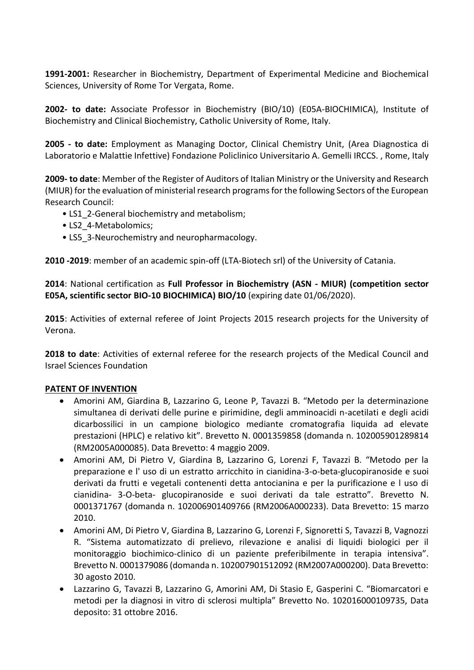**1991-2001:** Researcher in Biochemistry, Department of Experimental Medicine and Biochemical Sciences, University of Rome Tor Vergata, Rome.

**2002- to date:** Associate Professor in Biochemistry (BIO/10) (E05A-BIOCHIMICA), Institute of Biochemistry and Clinical Biochemistry, Catholic University of Rome, Italy.

**2005 - to date:** Employment as Managing Doctor, Clinical Chemistry Unit, (Area Diagnostica di Laboratorio e Malattie Infettive) Fondazione Policlinico Universitario A. Gemelli IRCCS. , Rome, Italy

**2009- to date**: Member of the Register of Auditors of Italian Ministry or the University and Research (MIUR) for the evaluation of ministerial research programs for the following Sectors of the European Research Council:

- LS1\_2-General biochemistry and metabolism;
- LS2 4-Metabolomics:
- LS5 3-Neurochemistry and neuropharmacology.

**2010 -2019**: member of an academic spin-off (LTA-Biotech srl) of the University of Catania.

**2014**: National certification as **Full Professor in Biochemistry (ASN - MIUR) (competition sector E05A, scientific sector BIO-10 BIOCHIMICA) BIO/10** (expiring date 01/06/2020).

**2015**: Activities of external referee of Joint Projects 2015 research projects for the University of Verona.

**2018 to date**: Activities of external referee for the research projects of the Medical Council and Israel Sciences Foundation

### **PATENT OF INVENTION**

- Amorini AM, Giardina B, Lazzarino G, Leone P, Tavazzi B. "Metodo per la determinazione simultanea di derivati delle purine e pirimidine, degli amminoacidi n-acetilati e degli acidi dicarbossilici in un campione biologico mediante cromatografia liquida ad elevate prestazioni (HPLC) e relativo kit". Brevetto N. 0001359858 (domanda n. 102005901289814 (RM2005A000085). Data Brevetto: 4 maggio 2009.
- Amorini AM, Di Pietro V, Giardina B, Lazzarino G, Lorenzi F, Tavazzi B. "Metodo per la preparazione e l' uso di un estratto arricchito in cianidina-3-o-beta-glucopiranoside e suoi derivati da frutti e vegetali contenenti detta antocianina e per la purificazione e l uso di cianidina- 3-O-beta- glucopiranoside e suoi derivati da tale estratto". Brevetto N. 0001371767 (domanda n. 102006901409766 (RM2006A000233). Data Brevetto: 15 marzo 2010.
- Amorini AM, Di Pietro V, Giardina B, Lazzarino G, Lorenzi F, Signoretti S, Tavazzi B, Vagnozzi R. "Sistema automatizzato di prelievo, rilevazione e analisi di liquidi biologici per il monitoraggio biochimico-clinico di un paziente preferibilmente in terapia intensiva". Brevetto N. 0001379086 (domanda n. 102007901512092 (RM2007A000200). Data Brevetto: 30 agosto 2010.
- Lazzarino G, Tavazzi B, Lazzarino G, Amorini AM, Di Stasio E, Gasperini C. "Biomarcatori e metodi per la diagnosi in vitro di sclerosi multipla" Brevetto No. 102016000109735, Data deposito: 31 ottobre 2016.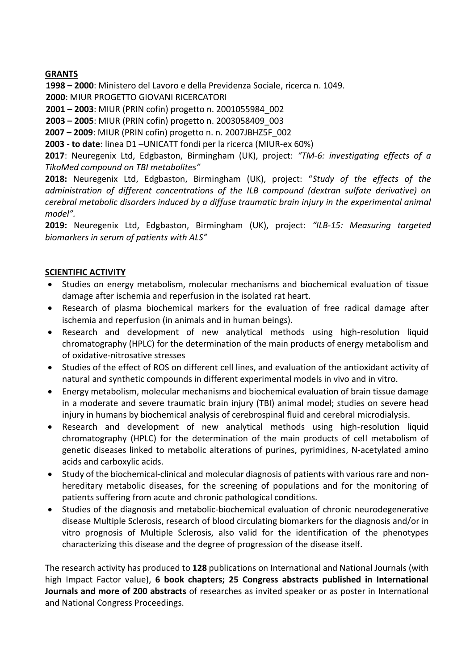# **GRANTS**

**1998 – 2000**: Ministero del Lavoro e della Previdenza Sociale, ricerca n. 1049.

**2000**: MIUR PROGETTO GIOVANI RICERCATORI

**2001 – 2003**: MIUR (PRIN cofin) progetto n. 2001055984\_002

**2003 – 2005**: MIUR (PRIN cofin) progetto n. 2003058409\_003

**2007 – 2009**: MIUR (PRIN cofin) progetto n. n. 2007JBHZ5F\_002

**2003 - to date**: linea D1 –UNICATT fondi per la ricerca (MIUR-ex 60%)

**2017**: Neuregenix Ltd, Edgbaston, Birmingham (UK), project: *"TM-6: investigating effects of a TikoMed compound on TBI metabolites"*

**2018:** Neuregenix Ltd, Edgbaston, Birmingham (UK), project: "*Study of the effects of the administration of different concentrations of the ILB compound (dextran sulfate derivative) on cerebral metabolic disorders induced by a diffuse traumatic brain injury in the experimental animal model".*

**2019:** Neuregenix Ltd, Edgbaston, Birmingham (UK), project: *"ILB-15: Measuring targeted biomarkers in serum of patients with ALS"*

# **SCIENTIFIC ACTIVITY**

- Studies on energy metabolism, molecular mechanisms and biochemical evaluation of tissue damage after ischemia and reperfusion in the isolated rat heart.
- Research of plasma biochemical markers for the evaluation of free radical damage after ischemia and reperfusion (in animals and in human beings).
- Research and development of new analytical methods using high-resolution liquid chromatography (HPLC) for the determination of the main products of energy metabolism and of oxidative-nitrosative stresses
- Studies of the effect of ROS on different cell lines, and evaluation of the antioxidant activity of natural and synthetic compounds in different experimental models in vivo and in vitro.
- Energy metabolism, molecular mechanisms and biochemical evaluation of brain tissue damage in a moderate and severe traumatic brain injury (TBI) animal model; studies on severe head injury in humans by biochemical analysis of cerebrospinal fluid and cerebral microdialysis.
- Research and development of new analytical methods using high-resolution liquid chromatography (HPLC) for the determination of the main products of cell metabolism of genetic diseases linked to metabolic alterations of purines, pyrimidines, N-acetylated amino acids and carboxylic acids.
- Study of the biochemical-clinical and molecular diagnosis of patients with various rare and nonhereditary metabolic diseases, for the screening of populations and for the monitoring of patients suffering from acute and chronic pathological conditions.
- Studies of the diagnosis and metabolic-biochemical evaluation of chronic neurodegenerative disease Multiple Sclerosis, research of blood circulating biomarkers for the diagnosis and/or in vitro prognosis of Multiple Sclerosis, also valid for the identification of the phenotypes characterizing this disease and the degree of progression of the disease itself.

The research activity has produced to **128** publications on International and National Journals (with high Impact Factor value), **6 book chapters; 25 Congress abstracts published in International Journals and more of 200 abstracts** of researches as invited speaker or as poster in International and National Congress Proceedings.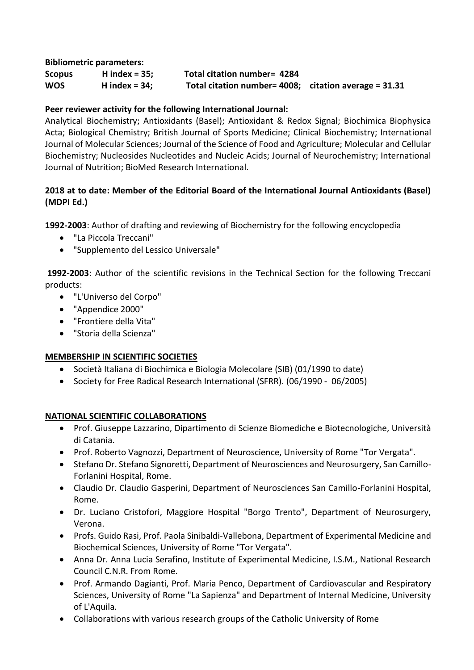**Bibliometric parameters:** 

**Scopus H index = 35; Total citation number= 4284 WOS H index = 34; Total citation number= 4008; citation average = 31.31**

# **Peer reviewer activity for the following International Journal:**

Analytical Biochemistry; Antioxidants (Basel); Antioxidant & Redox Signal; Biochimica Biophysica Acta; Biological Chemistry; British Journal of Sports Medicine; Clinical Biochemistry; International Journal of Molecular Sciences; Journal of the Science of Food and Agriculture; Molecular and Cellular Biochemistry; Nucleosides Nucleotides and Nucleic Acids; Journal of Neurochemistry; International Journal of Nutrition; BioMed Research International.

# **2018 at to date: Member of the Editorial Board of the International Journal Antioxidants (Basel) (MDPI Ed.)**

**1992-2003**: Author of drafting and reviewing of Biochemistry for the following encyclopedia

- "La Piccola Treccani"
- "Supplemento del Lessico Universale"

**1992-2003**: Author of the scientific revisions in the Technical Section for the following Treccani products:

- "L'Universo del Corpo"
- "Appendice 2000"
- "Frontiere della Vita"
- "Storia della Scienza"

# **MEMBERSHIP IN SCIENTIFIC SOCIETIES**

- Società Italiana di Biochimica e Biologia Molecolare (SIB) (01/1990 to date)
- Society for Free Radical Research International (SFRR). (06/1990 06/2005)

# **NATIONAL SCIENTIFIC COLLABORATIONS**

- Prof. Giuseppe Lazzarino, Dipartimento di Scienze Biomediche e Biotecnologiche, Università di Catania.
- Prof. Roberto Vagnozzi, Department of Neuroscience, University of Rome "Tor Vergata".
- Stefano Dr. Stefano Signoretti, Department of Neurosciences and Neurosurgery, San Camillo-Forlanini Hospital, Rome.
- Claudio Dr. Claudio Gasperini, Department of Neurosciences San Camillo-Forlanini Hospital, Rome.
- Dr. Luciano Cristofori, Maggiore Hospital "Borgo Trento", Department of Neurosurgery, Verona.
- Profs. Guido Rasi, Prof. Paola Sinibaldi-Vallebona, Department of Experimental Medicine and Biochemical Sciences, University of Rome "Tor Vergata".
- Anna Dr. Anna Lucia Serafino, Institute of Experimental Medicine, I.S.M., National Research Council C.N.R. From Rome.
- Prof. Armando Dagianti, Prof. Maria Penco, Department of Cardiovascular and Respiratory Sciences, University of Rome "La Sapienza" and Department of Internal Medicine, University of L'Aquila.
- Collaborations with various research groups of the Catholic University of Rome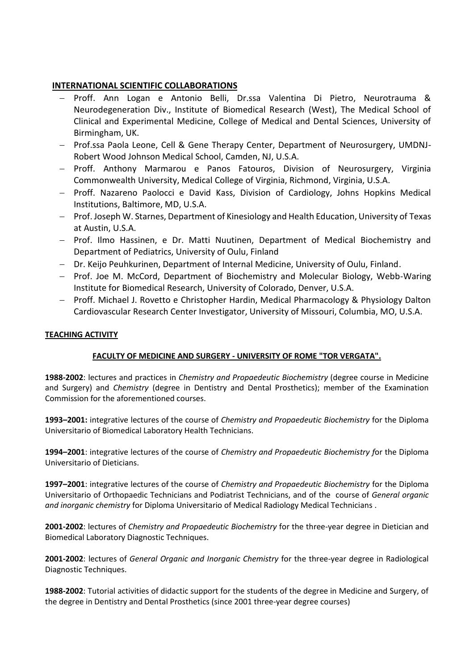### **INTERNATIONAL SCIENTIFIC COLLABORATIONS**

- Proff. Ann Logan e Antonio Belli, Dr.ssa Valentina Di Pietro, Neurotrauma & Neurodegeneration Div., Institute of Biomedical Research (West), The Medical School of Clinical and Experimental Medicine, College of Medical and Dental Sciences, University of Birmingham, UK.
- Prof.ssa Paola Leone, Cell & Gene Therapy Center, Department of Neurosurgery, UMDNJ-Robert Wood Johnson Medical School, Camden, NJ, U.S.A.
- Proff. Anthony Marmarou e Panos Fatouros, Division of Neurosurgery, Virginia Commonwealth University, Medical College of Virginia, Richmond, Virginia, U.S.A.
- Proff. Nazareno Paolocci e David Kass, Division of Cardiology, Johns Hopkins Medical Institutions, Baltimore, MD, U.S.A.
- Prof. Joseph W. Starnes, Department of Kinesiology and Health Education, University of Texas at Austin, U.S.A.
- Prof. Ilmo Hassinen, e Dr. Matti Nuutinen, Department of Medical Biochemistry and Department of Pediatrics, University of Oulu, Finland
- Dr. Keijo Peuhkurinen, Department of Internal Medicine, University of Oulu, Finland.
- Prof. Joe M. McCord, Department of Biochemistry and Molecular Biology, Webb-Waring Institute for Biomedical Research, University of Colorado, Denver, U.S.A.
- Proff. Michael J. Rovetto e Christopher Hardin, Medical Pharmacology & Physiology Dalton Cardiovascular Research Center Investigator, University of Missouri, Columbia, MO, U.S.A.

### **TEACHING ACTIVITY**

### **FACULTY OF MEDICINE AND SURGERY - UNIVERSITY OF ROME "TOR VERGATA".**

**1988-2002**: lectures and practices in *Chemistry and Propaedeutic Biochemistry* (degree course in Medicine and Surgery) and *Chemistry* (degree in Dentistry and Dental Prosthetics); member of the Examination Commission for the aforementioned courses.

**1993–2001:** integrative lectures of the course of *Chemistry and Propaedeutic Biochemistry* for the Diploma Universitario of Biomedical Laboratory Health Technicians.

**1994–2001**: integrative lectures of the course of *Chemistry and Propaedeutic Biochemistry f*or the Diploma Universitario of Dieticians.

**1997–2001**: integrative lectures of the course of *Chemistry and Propaedeutic Biochemistry* for the Diploma Universitario of Orthopaedic Technicians and Podiatrist Technicians, and of the course of *General organic and inorganic chemistry* for Diploma Universitario of Medical Radiology Medical Technicians .

**2001-2002**: lectures of *Chemistry and Propaedeutic Biochemistry* for the three-year degree in Dietician and Biomedical Laboratory Diagnostic Techniques.

**2001-2002**: lectures of *General Organic and Inorganic Chemistry* for the three-year degree in Radiological Diagnostic Techniques.

**1988-2002**: Tutorial activities of didactic support for the students of the degree in Medicine and Surgery, of the degree in Dentistry and Dental Prosthetics (since 2001 three-year degree courses)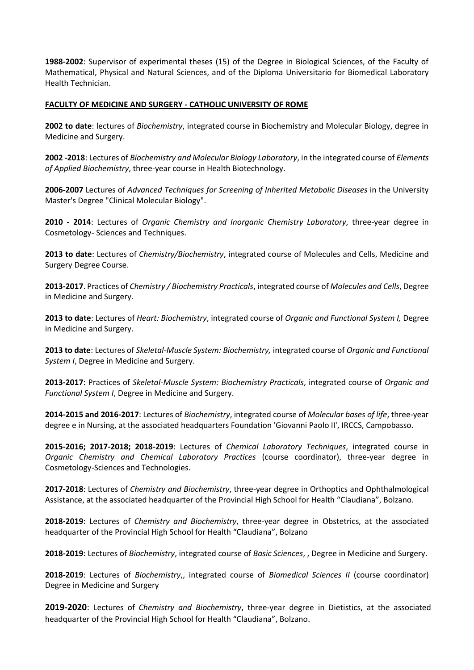**1988-2002**: Supervisor of experimental theses (15) of the Degree in Biological Sciences, of the Faculty of Mathematical, Physical and Natural Sciences, and of the Diploma Universitario for Biomedical Laboratory Health Technician.

#### **FACULTY OF MEDICINE AND SURGERY - CATHOLIC UNIVERSITY OF ROME**

**2002 to date**: lectures of *Biochemistry*, integrated course in Biochemistry and Molecular Biology, degree in Medicine and Surgery.

**2002 -2018**: Lectures of *Biochemistry and Molecular Biology Laboratory*, in the integrated course of *Elements of Applied Biochemistry*, three-year course in Health Biotechnology.

**2006-2007** Lectures of *Advanced Techniques for Screening of Inherited Metabolic Diseases* in the University Master's Degree "Clinical Molecular Biology".

**2010 - 2014**: Lectures of *Organic Chemistry and Inorganic Chemistry Laboratory*, three-year degree in Cosmetology- Sciences and Techniques.

**2013 to date**: Lectures of *Chemistry/Biochemistry*, integrated course of Molecules and Cells, Medicine and Surgery Degree Course.

**2013-2017**. Practices of *Chemistry / Biochemistry Practicals*, integrated course of *Molecules and Cells*, Degree in Medicine and Surgery.

**2013 to date**: Lectures of *Heart: Biochemistry*, integrated course of *Organic and Functional System I,* Degree in Medicine and Surgery.

**2013 to date**: Lectures of *Skeletal-Muscle System: Biochemistry,* integrated course of *Organic and Functional System I*, Degree in Medicine and Surgery.

**2013-2017**: Practices of *Skeletal-Muscle System: Biochemistry Practicals*, integrated course of *Organic and Functional System I*, Degree in Medicine and Surgery.

**2014-2015 and 2016-2017**: Lectures of *Biochemistry*, integrated course of *Molecular bases of life*, three-year degree e in Nursing, at the associated headquarters Foundation 'Giovanni Paolo II', IRCCS, Campobasso.

**2015-2016; 2017-2018; 2018-2019**: Lectures of *Chemical Laboratory Techniques*, integrated course in *Organic Chemistry and Chemical Laboratory Practices* (course coordinator), three-year degree in Cosmetology-Sciences and Technologies.

**2017-2018**: Lectures of *Chemistry and Biochemistry*, three-year degree in Orthoptics and Ophthalmological Assistance, at the associated headquarter of the Provincial High School for Health "Claudiana", Bolzano.

**2018-2019**: Lectures of *Chemistry and Biochemistry*, three-year degree in Obstetrics, at the associated headquarter of the Provincial High School for Health "Claudiana", Bolzano

**2018-2019**: Lectures of *Biochemistry*, integrated course of *Basic Sciences*, , Degree in Medicine and Surgery.

**2018-2019**: Lectures of *Biochemistry*,, integrated course of *Biomedical Sciences II* (course coordinator) Degree in Medicine and Surgery

**2019-2020**: Lectures of *Chemistry and Biochemistry*, three-year degree in Dietistics, at the associated headquarter of the Provincial High School for Health "Claudiana", Bolzano.